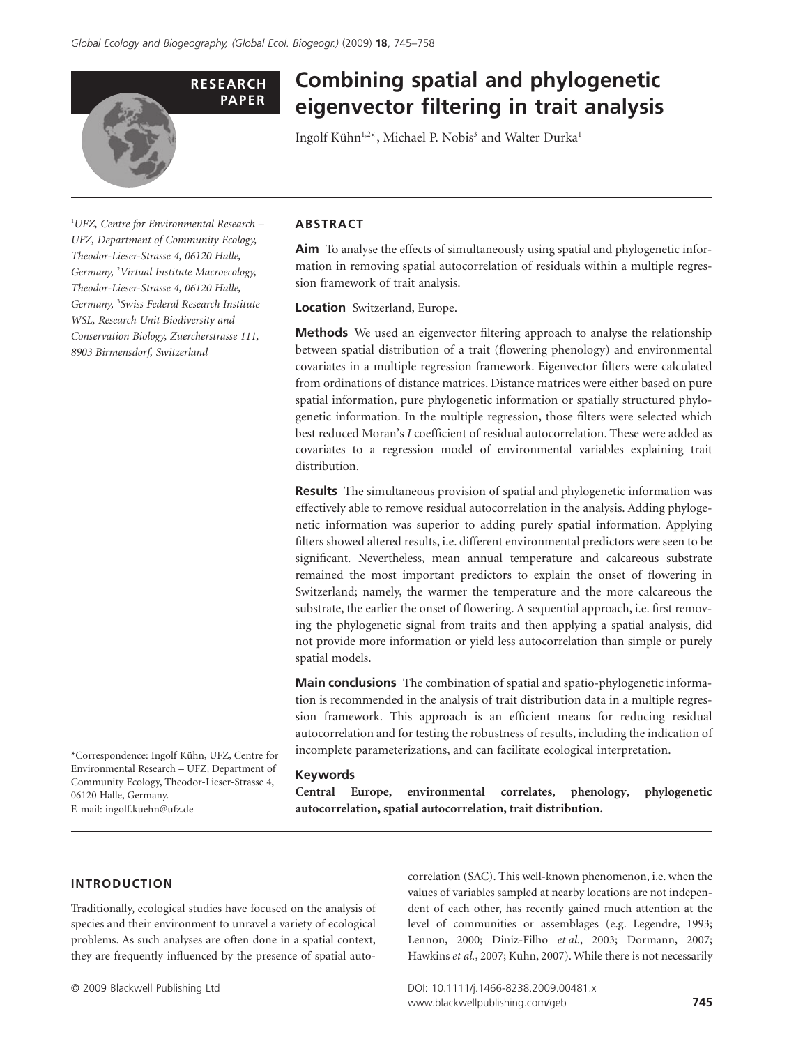

# **Combining spatial and phylogenetic eigenvector filtering in trait analysis**

Ingolf Kühn<sup>1,2\*</sup>, Michael P. Nobis<sup>3</sup> and Walter Durka<sup>1</sup>

1 *UFZ, Centre for Environmental Research – UFZ, Department of Community Ecology, Theodor-Lieser-Strasse 4, 06120 Halle, Germany,* <sup>2</sup> *Virtual Institute Macroecology, Theodor-Lieser-Strasse 4, 06120 Halle, Germany,* <sup>3</sup> *Swiss Federal Research Institute WSL, Research Unit Biodiversity and Conservation Biology, Zuercherstrasse 111, 8903 Birmensdorf, Switzerland*

# **ABSTRACT**

**Aim** To analyse the effects of simultaneously using spatial and phylogenetic information in removing spatial autocorrelation of residuals within a multiple regression framework of trait analysis.

**Location** Switzerland, Europe.

**Methods** We used an eigenvector filtering approach to analyse the relationship between spatial distribution of a trait (flowering phenology) and environmental covariates in a multiple regression framework. Eigenvector filters were calculated from ordinations of distance matrices. Distance matrices were either based on pure spatial information, pure phylogenetic information or spatially structured phylogenetic information. In the multiple regression, those filters were selected which best reduced Moran's *I* coefficient of residual autocorrelation. These were added as covariates to a regression model of environmental variables explaining trait distribution.

**Results** The simultaneous provision of spatial and phylogenetic information was effectively able to remove residual autocorrelation in the analysis. Adding phylogenetic information was superior to adding purely spatial information. Applying filters showed altered results, i.e. different environmental predictors were seen to be significant. Nevertheless, mean annual temperature and calcareous substrate remained the most important predictors to explain the onset of flowering in Switzerland; namely, the warmer the temperature and the more calcareous the substrate, the earlier the onset of flowering. A sequential approach, i.e. first removing the phylogenetic signal from traits and then applying a spatial analysis, did not provide more information or yield less autocorrelation than simple or purely spatial models.

**Main conclusions** The combination of spatial and spatio-phylogenetic information is recommended in the analysis of trait distribution data in a multiple regression framework. This approach is an efficient means for reducing residual autocorrelation and for testing the robustness of results, including the indication of incomplete parameterizations, and can facilitate ecological interpretation.

#### **Keywords**

**Central Europe, environmental correlates, phenology, phylogenetic autocorrelation, spatial autocorrelation, trait distribution.**

\*Correspondence: Ingolf Kühn, UFZ, Centre for Environmental Research – UFZ, Department of Community Ecology, Theodor-Lieser-Strasse 4, 06120 Halle, Germany. E-mail: ingolf.kuehn@ufz.de

### **INTRODUCTION**

Traditionally, ecological studies have focused on the analysis of species and their environment to unravel a variety of ecological problems. As such analyses are often done in a spatial context, they are frequently influenced by the presence of spatial auto-

correlation (SAC). This well-known phenomenon, i.e. when the values of variables sampled at nearby locations are not independent of each other, has recently gained much attention at the level of communities or assemblages (e.g. Legendre, 1993; Lennon, 2000; Diniz-Filho *et al.*, 2003; Dormann, 2007; Hawkins *et al.*, 2007; Kühn, 2007). While there is not necessarily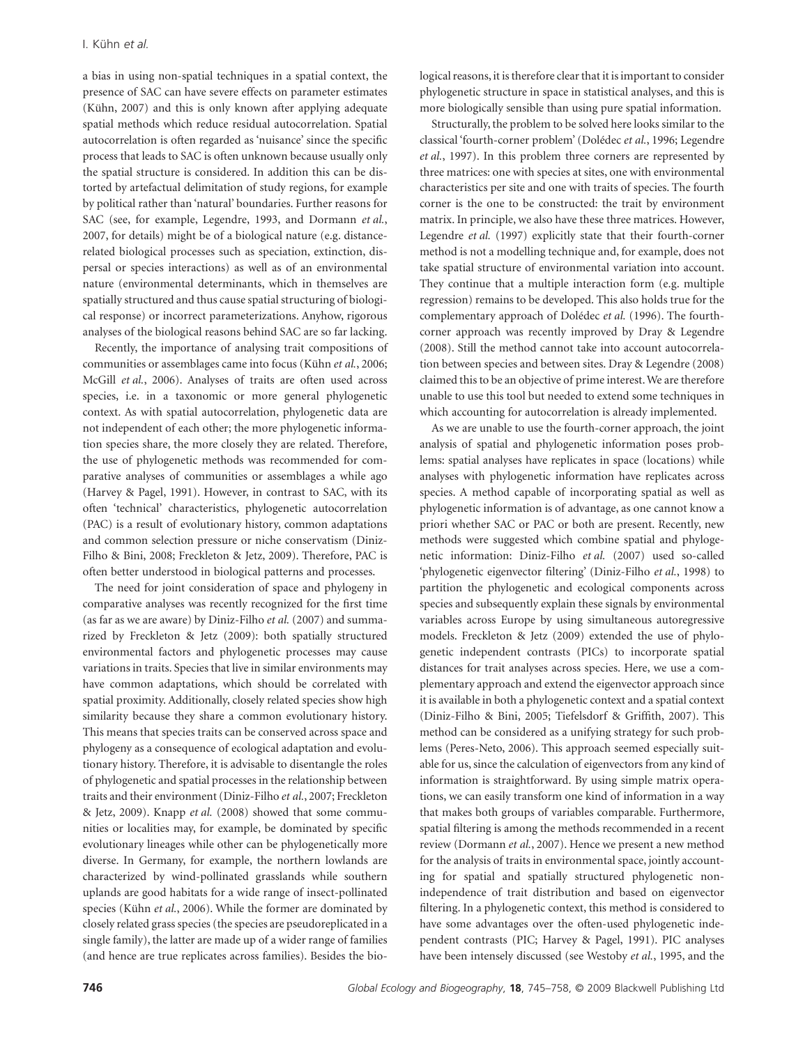a bias in using non-spatial techniques in a spatial context, the presence of SAC can have severe effects on parameter estimates (Kühn, 2007) and this is only known after applying adequate spatial methods which reduce residual autocorrelation. Spatial autocorrelation is often regarded as 'nuisance' since the specific process that leads to SAC is often unknown because usually only the spatial structure is considered. In addition this can be distorted by artefactual delimitation of study regions, for example by political rather than 'natural' boundaries. Further reasons for SAC (see, for example, Legendre, 1993, and Dormann *et al.*, 2007, for details) might be of a biological nature (e.g. distancerelated biological processes such as speciation, extinction, dispersal or species interactions) as well as of an environmental nature (environmental determinants, which in themselves are spatially structured and thus cause spatial structuring of biological response) or incorrect parameterizations. Anyhow, rigorous analyses of the biological reasons behind SAC are so far lacking.

Recently, the importance of analysing trait compositions of communities or assemblages came into focus (Kühn *et al.*, 2006; McGill *et al.*, 2006). Analyses of traits are often used across species, i.e. in a taxonomic or more general phylogenetic context. As with spatial autocorrelation, phylogenetic data are not independent of each other; the more phylogenetic information species share, the more closely they are related. Therefore, the use of phylogenetic methods was recommended for comparative analyses of communities or assemblages a while ago (Harvey & Pagel, 1991). However, in contrast to SAC, with its often 'technical' characteristics, phylogenetic autocorrelation (PAC) is a result of evolutionary history, common adaptations and common selection pressure or niche conservatism (Diniz-Filho & Bini, 2008; Freckleton & Jetz, 2009). Therefore, PAC is often better understood in biological patterns and processes.

The need for joint consideration of space and phylogeny in comparative analyses was recently recognized for the first time (as far as we are aware) by Diniz-Filho *et al.* (2007) and summarized by Freckleton & Jetz (2009): both spatially structured environmental factors and phylogenetic processes may cause variations in traits. Species that live in similar environments may have common adaptations, which should be correlated with spatial proximity. Additionally, closely related species show high similarity because they share a common evolutionary history. This means that species traits can be conserved across space and phylogeny as a consequence of ecological adaptation and evolutionary history. Therefore, it is advisable to disentangle the roles of phylogenetic and spatial processes in the relationship between traits and their environment (Diniz-Filho *et al.*, 2007; Freckleton & Jetz, 2009). Knapp *et al.* (2008) showed that some communities or localities may, for example, be dominated by specific evolutionary lineages while other can be phylogenetically more diverse. In Germany, for example, the northern lowlands are characterized by wind-pollinated grasslands while southern uplands are good habitats for a wide range of insect-pollinated species (Kühn *et al.*, 2006). While the former are dominated by closely related grass species (the species are pseudoreplicated in a single family), the latter are made up of a wider range of families (and hence are true replicates across families). Besides the biological reasons, it is therefore clear that it is important to consider phylogenetic structure in space in statistical analyses, and this is more biologically sensible than using pure spatial information.

Structurally, the problem to be solved here looks similar to the classical 'fourth-corner problem' (Dolédec *et al.*, 1996; Legendre *et al.*, 1997). In this problem three corners are represented by three matrices: one with species at sites, one with environmental characteristics per site and one with traits of species. The fourth corner is the one to be constructed: the trait by environment matrix. In principle, we also have these three matrices. However, Legendre *et al.* (1997) explicitly state that their fourth-corner method is not a modelling technique and, for example, does not take spatial structure of environmental variation into account. They continue that a multiple interaction form (e.g. multiple regression) remains to be developed. This also holds true for the complementary approach of Dolédec *et al.* (1996). The fourthcorner approach was recently improved by Dray & Legendre (2008). Still the method cannot take into account autocorrelation between species and between sites. Dray & Legendre (2008) claimed this to be an objective of prime interest. We are therefore unable to use this tool but needed to extend some techniques in which accounting for autocorrelation is already implemented.

As we are unable to use the fourth-corner approach, the joint analysis of spatial and phylogenetic information poses problems: spatial analyses have replicates in space (locations) while analyses with phylogenetic information have replicates across species. A method capable of incorporating spatial as well as phylogenetic information is of advantage, as one cannot know a priori whether SAC or PAC or both are present. Recently, new methods were suggested which combine spatial and phylogenetic information: Diniz-Filho *et al.* (2007) used so-called 'phylogenetic eigenvector filtering' (Diniz-Filho *et al.*, 1998) to partition the phylogenetic and ecological components across species and subsequently explain these signals by environmental variables across Europe by using simultaneous autoregressive models. Freckleton & Jetz (2009) extended the use of phylogenetic independent contrasts (PICs) to incorporate spatial distances for trait analyses across species. Here, we use a complementary approach and extend the eigenvector approach since it is available in both a phylogenetic context and a spatial context (Diniz-Filho & Bini, 2005; Tiefelsdorf & Griffith, 2007). This method can be considered as a unifying strategy for such problems (Peres-Neto, 2006). This approach seemed especially suitable for us, since the calculation of eigenvectors from any kind of information is straightforward. By using simple matrix operations, we can easily transform one kind of information in a way that makes both groups of variables comparable. Furthermore, spatial filtering is among the methods recommended in a recent review (Dormann *et al.*, 2007). Hence we present a new method for the analysis of traits in environmental space, jointly accounting for spatial and spatially structured phylogenetic nonindependence of trait distribution and based on eigenvector filtering. In a phylogenetic context, this method is considered to have some advantages over the often-used phylogenetic independent contrasts (PIC; Harvey & Pagel, 1991). PIC analyses have been intensely discussed (see Westoby *et al.*, 1995, and the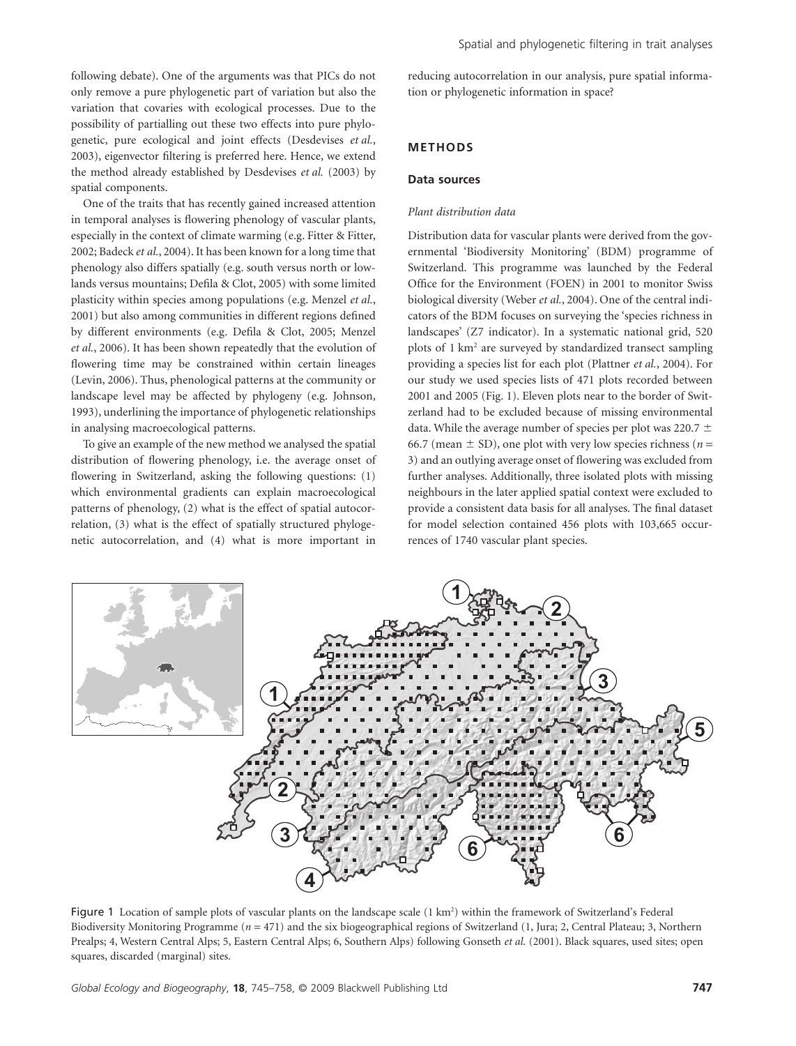following debate). One of the arguments was that PICs do not only remove a pure phylogenetic part of variation but also the variation that covaries with ecological processes. Due to the possibility of partialling out these two effects into pure phylogenetic, pure ecological and joint effects (Desdevises *et al.*, 2003), eigenvector filtering is preferred here. Hence, we extend the method already established by Desdevises *et al.* (2003) by spatial components.

One of the traits that has recently gained increased attention in temporal analyses is flowering phenology of vascular plants, especially in the context of climate warming (e.g. Fitter & Fitter, 2002; Badeck *et al.*, 2004). It has been known for a long time that phenology also differs spatially (e.g. south versus north or lowlands versus mountains; Defila & Clot, 2005) with some limited plasticity within species among populations (e.g. Menzel *et al.*, 2001) but also among communities in different regions defined by different environments (e.g. Defila & Clot, 2005; Menzel *et al.*, 2006). It has been shown repeatedly that the evolution of flowering time may be constrained within certain lineages (Levin, 2006). Thus, phenological patterns at the community or landscape level may be affected by phylogeny (e.g. Johnson, 1993), underlining the importance of phylogenetic relationships in analysing macroecological patterns.

To give an example of the new method we analysed the spatial distribution of flowering phenology, i.e. the average onset of flowering in Switzerland, asking the following questions: (1) which environmental gradients can explain macroecological patterns of phenology, (2) what is the effect of spatial autocorrelation, (3) what is the effect of spatially structured phylogenetic autocorrelation, and (4) what is more important in reducing autocorrelation in our analysis, pure spatial information or phylogenetic information in space?

# **METHODS**

#### **Data sources**

## *Plant distribution data*

Distribution data for vascular plants were derived from the governmental 'Biodiversity Monitoring' (BDM) programme of Switzerland. This programme was launched by the Federal Office for the Environment (FOEN) in 2001 to monitor Swiss biological diversity (Weber *et al.*, 2004). One of the central indicators of the BDM focuses on surveying the 'species richness in landscapes' (Z7 indicator). In a systematic national grid, 520 plots of 1 km2 are surveyed by standardized transect sampling providing a species list for each plot (Plattner *et al.*, 2004). For our study we used species lists of 471 plots recorded between 2001 and 2005 (Fig. 1). Eleven plots near to the border of Switzerland had to be excluded because of missing environmental data. While the average number of species per plot was 220.7  $\pm$ 66.7 (mean  $\pm$  SD), one plot with very low species richness ( $n =$ 3) and an outlying average onset of flowering was excluded from further analyses. Additionally, three isolated plots with missing neighbours in the later applied spatial context were excluded to provide a consistent data basis for all analyses. The final dataset for model selection contained 456 plots with 103,665 occurrences of 1740 vascular plant species.



Figure 1 Location of sample plots of vascular plants on the landscape scale (1 km<sup>2</sup>) within the framework of Switzerland's Federal Biodiversity Monitoring Programme ( $n = 471$ ) and the six biogeographical regions of Switzerland (1, Jura; 2, Central Plateau; 3, Northern Prealps; 4, Western Central Alps; 5, Eastern Central Alps; 6, Southern Alps) following Gonseth *et al.* (2001). Black squares, used sites; open squares, discarded (marginal) sites.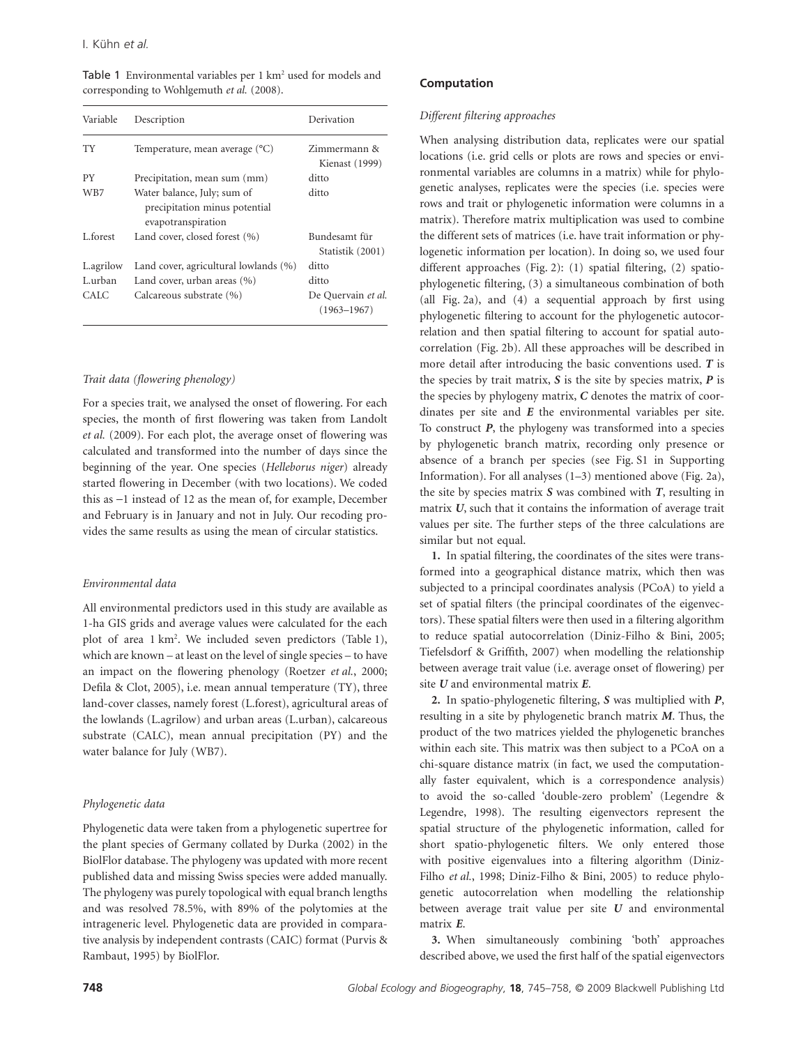Table 1 Environmental variables per 1 km<sup>2</sup> used for models and corresponding to Wohlgemuth *et al.* (2008).

| Variable  | Description                                                                        | Derivation                            |
|-----------|------------------------------------------------------------------------------------|---------------------------------------|
| TY        | Temperature, mean average (°C)                                                     | Zimmermann &<br>Kienast (1999)        |
| PY        | Precipitation, mean sum (mm)                                                       | ditto                                 |
| WB7       | Water balance, July; sum of<br>precipitation minus potential<br>evapotranspiration | ditto                                 |
| L.forest  | Land cover, closed forest (%)                                                      | Bundesamt für<br>Statistik (2001)     |
| L.agrilow | Land cover, agricultural lowlands (%)                                              | ditto                                 |
| Lurban    | Land cover, urban areas (%)                                                        | ditto                                 |
| CALC      | Calcareous substrate (%)                                                           | De Quervain et al.<br>$(1963 - 1967)$ |

#### *Trait data (flowering phenology)*

For a species trait, we analysed the onset of flowering. For each species, the month of first flowering was taken from Landolt *et al.* (2009). For each plot, the average onset of flowering was calculated and transformed into the number of days since the beginning of the year. One species (*Helleborus niger*) already started flowering in December (with two locations). We coded this as -1 instead of 12 as the mean of, for example, December and February is in January and not in July. Our recoding provides the same results as using the mean of circular statistics.

#### *Environmental data*

All environmental predictors used in this study are available as 1-ha GIS grids and average values were calculated for the each plot of area 1 km<sup>2</sup>. We included seven predictors (Table 1), which are known – at least on the level of single species – to have an impact on the flowering phenology (Roetzer *et al.*, 2000; Defila & Clot, 2005), i.e. mean annual temperature (TY), three land-cover classes, namely forest (L.forest), agricultural areas of the lowlands (L.agrilow) and urban areas (L.urban), calcareous substrate (CALC), mean annual precipitation (PY) and the water balance for July (WB7).

#### *Phylogenetic data*

Phylogenetic data were taken from a phylogenetic supertree for the plant species of Germany collated by Durka (2002) in the BiolFlor database. The phylogeny was updated with more recent published data and missing Swiss species were added manually. The phylogeny was purely topological with equal branch lengths and was resolved 78.5%, with 89% of the polytomies at the intrageneric level. Phylogenetic data are provided in comparative analysis by independent contrasts (CAIC) format (Purvis & Rambaut, 1995) by BiolFlor.

## **Computation**

## *Different filtering approaches*

When analysing distribution data, replicates were our spatial locations (i.e. grid cells or plots are rows and species or environmental variables are columns in a matrix) while for phylogenetic analyses, replicates were the species (i.e. species were rows and trait or phylogenetic information were columns in a matrix). Therefore matrix multiplication was used to combine the different sets of matrices (i.e. have trait information or phylogenetic information per location). In doing so, we used four different approaches (Fig. 2): (1) spatial filtering, (2) spatiophylogenetic filtering, (3) a simultaneous combination of both (all Fig. 2a), and (4) a sequential approach by first using phylogenetic filtering to account for the phylogenetic autocorrelation and then spatial filtering to account for spatial autocorrelation (Fig. 2b). All these approaches will be described in more detail after introducing the basic conventions used. *T* is the species by trait matrix, *S* is the site by species matrix, *P* is the species by phylogeny matrix, *C* denotes the matrix of coordinates per site and *E* the environmental variables per site. To construct *P*, the phylogeny was transformed into a species by phylogenetic branch matrix, recording only presence or absence of a branch per species (see Fig. S1 in Supporting Information). For all analyses (1–3) mentioned above (Fig. 2a), the site by species matrix *S* was combined with *T*, resulting in matrix *U*, such that it contains the information of average trait values per site. The further steps of the three calculations are similar but not equal.

**1.** In spatial filtering, the coordinates of the sites were transformed into a geographical distance matrix, which then was subjected to a principal coordinates analysis (PCoA) to yield a set of spatial filters (the principal coordinates of the eigenvectors). These spatial filters were then used in a filtering algorithm to reduce spatial autocorrelation (Diniz-Filho & Bini, 2005; Tiefelsdorf & Griffith, 2007) when modelling the relationship between average trait value (i.e. average onset of flowering) per site *U* and environmental matrix *E*.

**2.** In spatio-phylogenetic filtering, *S* was multiplied with *P*, resulting in a site by phylogenetic branch matrix *M*. Thus, the product of the two matrices yielded the phylogenetic branches within each site. This matrix was then subject to a PCoA on a chi-square distance matrix (in fact, we used the computationally faster equivalent, which is a correspondence analysis) to avoid the so-called 'double-zero problem' (Legendre & Legendre, 1998). The resulting eigenvectors represent the spatial structure of the phylogenetic information, called for short spatio-phylogenetic filters. We only entered those with positive eigenvalues into a filtering algorithm (Diniz-Filho *et al.*, 1998; Diniz-Filho & Bini, 2005) to reduce phylogenetic autocorrelation when modelling the relationship between average trait value per site *U* and environmental matrix *E*.

**3.** When simultaneously combining 'both' approaches described above, we used the first half of the spatial eigenvectors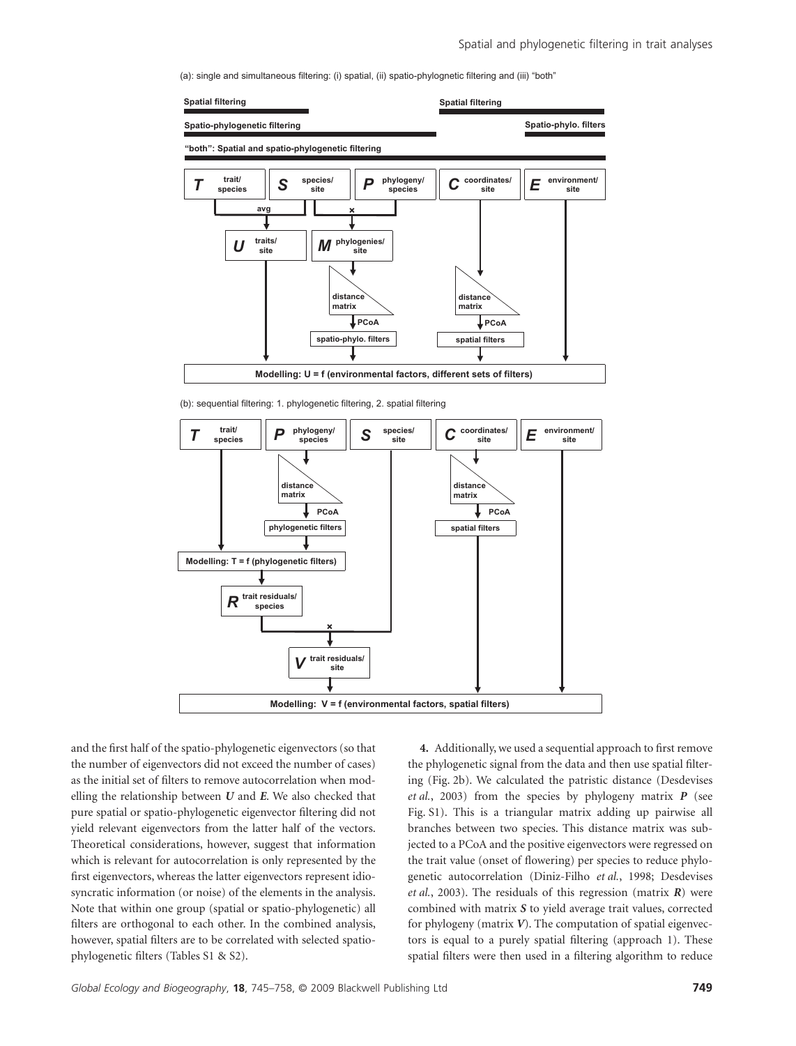(a): single and simultaneous filtering: (i) spatial, (ii) spatio-phylognetic filtering and (iii) "both"



(b): sequential filtering: 1. phylogenetic filtering, 2. spatial filtering



and the first half of the spatio-phylogenetic eigenvectors (so that the number of eigenvectors did not exceed the number of cases) as the initial set of filters to remove autocorrelation when modelling the relationship between *U* and *E*. We also checked that pure spatial or spatio-phylogenetic eigenvector filtering did not yield relevant eigenvectors from the latter half of the vectors. Theoretical considerations, however, suggest that information which is relevant for autocorrelation is only represented by the first eigenvectors, whereas the latter eigenvectors represent idiosyncratic information (or noise) of the elements in the analysis. Note that within one group (spatial or spatio-phylogenetic) all filters are orthogonal to each other. In the combined analysis, however, spatial filters are to be correlated with selected spatiophylogenetic filters (Tables S1 & S2).

**4.** Additionally, we used a sequential approach to first remove the phylogenetic signal from the data and then use spatial filtering (Fig. 2b). We calculated the patristic distance (Desdevises *et al.*, 2003) from the species by phylogeny matrix *P* (see Fig. S1). This is a triangular matrix adding up pairwise all branches between two species. This distance matrix was subjected to a PCoA and the positive eigenvectors were regressed on the trait value (onset of flowering) per species to reduce phylogenetic autocorrelation (Diniz-Filho *et al.*, 1998; Desdevises *et al.*, 2003). The residuals of this regression (matrix *R*) were combined with matrix *S* to yield average trait values, corrected for phylogeny (matrix *V*). The computation of spatial eigenvectors is equal to a purely spatial filtering (approach 1). These spatial filters were then used in a filtering algorithm to reduce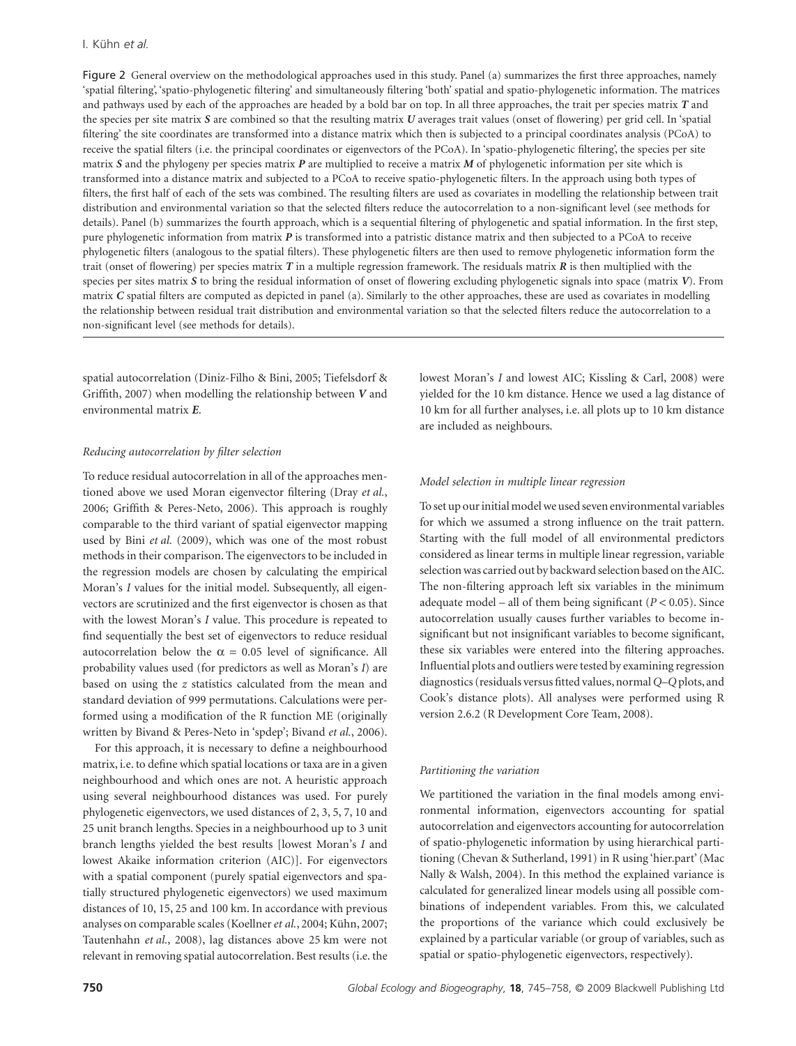Figure 2 General overview on the methodological approaches used in this study. Panel (a) summarizes the first three approaches, namely 'spatial filtering', 'spatio-phylogenetic filtering' and simultaneously filtering 'both' spatial and spatio-phylogenetic information. The matrices and pathways used by each of the approaches are headed by a bold bar on top. In all three approaches, the trait per species matrix *T* and the species per site matrix *S* are combined so that the resulting matrix *U* averages trait values (onset of flowering) per grid cell. In 'spatial filtering' the site coordinates are transformed into a distance matrix which then is subjected to a principal coordinates analysis (PCoA) to receive the spatial filters (i.e. the principal coordinates or eigenvectors of the PCoA). In 'spatio-phylogenetic filtering', the species per site matrix *S* and the phylogeny per species matrix *P* are multiplied to receive a matrix *M* of phylogenetic information per site which is transformed into a distance matrix and subjected to a PCoA to receive spatio-phylogenetic filters. In the approach using both types of filters, the first half of each of the sets was combined. The resulting filters are used as covariates in modelling the relationship between trait distribution and environmental variation so that the selected filters reduce the autocorrelation to a non-significant level (see methods for details). Panel (b) summarizes the fourth approach, which is a sequential filtering of phylogenetic and spatial information. In the first step, pure phylogenetic information from matrix *P* is transformed into a patristic distance matrix and then subjected to a PCoA to receive phylogenetic filters (analogous to the spatial filters). These phylogenetic filters are then used to remove phylogenetic information form the trait (onset of flowering) per species matrix *T* in a multiple regression framework. The residuals matrix *R* is then multiplied with the species per sites matrix *S* to bring the residual information of onset of flowering excluding phylogenetic signals into space (matrix *V*). From matrix *C* spatial filters are computed as depicted in panel (a). Similarly to the other approaches, these are used as covariates in modelling the relationship between residual trait distribution and environmental variation so that the selected filters reduce the autocorrelation to a non-significant level (see methods for details).

spatial autocorrelation (Diniz-Filho & Bini, 2005; Tiefelsdorf & Griffith, 2007) when modelling the relationship between *V* and environmental matrix *E*.

#### *Reducing autocorrelation by filter selection*

To reduce residual autocorrelation in all of the approaches mentioned above we used Moran eigenvector filtering (Dray *et al.*, 2006; Griffith & Peres-Neto, 2006). This approach is roughly comparable to the third variant of spatial eigenvector mapping used by Bini *et al.* (2009), which was one of the most robust methods in their comparison. The eigenvectors to be included in the regression models are chosen by calculating the empirical Moran's *I* values for the initial model. Subsequently, all eigenvectors are scrutinized and the first eigenvector is chosen as that with the lowest Moran's *I* value. This procedure is repeated to find sequentially the best set of eigenvectors to reduce residual autocorrelation below the  $\alpha = 0.05$  level of significance. All probability values used (for predictors as well as Moran's *I*) are based on using the *z* statistics calculated from the mean and standard deviation of 999 permutations. Calculations were performed using a modification of the R function ME (originally written by Bivand & Peres-Neto in 'spdep'; Bivand *et al.*, 2006).

For this approach, it is necessary to define a neighbourhood matrix, i.e. to define which spatial locations or taxa are in a given neighbourhood and which ones are not. A heuristic approach using several neighbourhood distances was used. For purely phylogenetic eigenvectors, we used distances of 2, 3, 5, 7, 10 and 25 unit branch lengths. Species in a neighbourhood up to 3 unit branch lengths yielded the best results [lowest Moran's *I* and lowest Akaike information criterion (AIC)]. For eigenvectors with a spatial component (purely spatial eigenvectors and spatially structured phylogenetic eigenvectors) we used maximum distances of 10, 15, 25 and 100 km. In accordance with previous analyses on comparable scales (Koellner*et al.*, 2004; Kühn, 2007; Tautenhahn *et al.*, 2008), lag distances above 25 km were not relevant in removing spatial autocorrelation. Best results (i.e. the lowest Moran's *I* and lowest AIC; Kissling & Carl, 2008) were yielded for the 10 km distance. Hence we used a lag distance of 10 km for all further analyses, i.e. all plots up to 10 km distance are included as neighbours.

## *Model selection in multiple linear regression*

To set up our initial model we used seven environmental variables for which we assumed a strong influence on the trait pattern. Starting with the full model of all environmental predictors considered as linear terms in multiple linear regression, variable selection was carried out by backward selection based on the AIC. The non-filtering approach left six variables in the minimum adequate model – all of them being significant (*P* < 0.05). Since autocorrelation usually causes further variables to become insignificant but not insignificant variables to become significant, these six variables were entered into the filtering approaches. Influential plots and outliers were tested by examining regression diagnostics (residuals versus fitted values, normal *Q*–*Q* plots, and Cook's distance plots). All analyses were performed using R version 2.6.2 (R Development Core Team, 2008).

#### *Partitioning the variation*

We partitioned the variation in the final models among environmental information, eigenvectors accounting for spatial autocorrelation and eigenvectors accounting for autocorrelation of spatio-phylogenetic information by using hierarchical partitioning (Chevan & Sutherland, 1991) in R using 'hier.part' (Mac Nally & Walsh, 2004). In this method the explained variance is calculated for generalized linear models using all possible combinations of independent variables. From this, we calculated the proportions of the variance which could exclusively be explained by a particular variable (or group of variables, such as spatial or spatio-phylogenetic eigenvectors, respectively).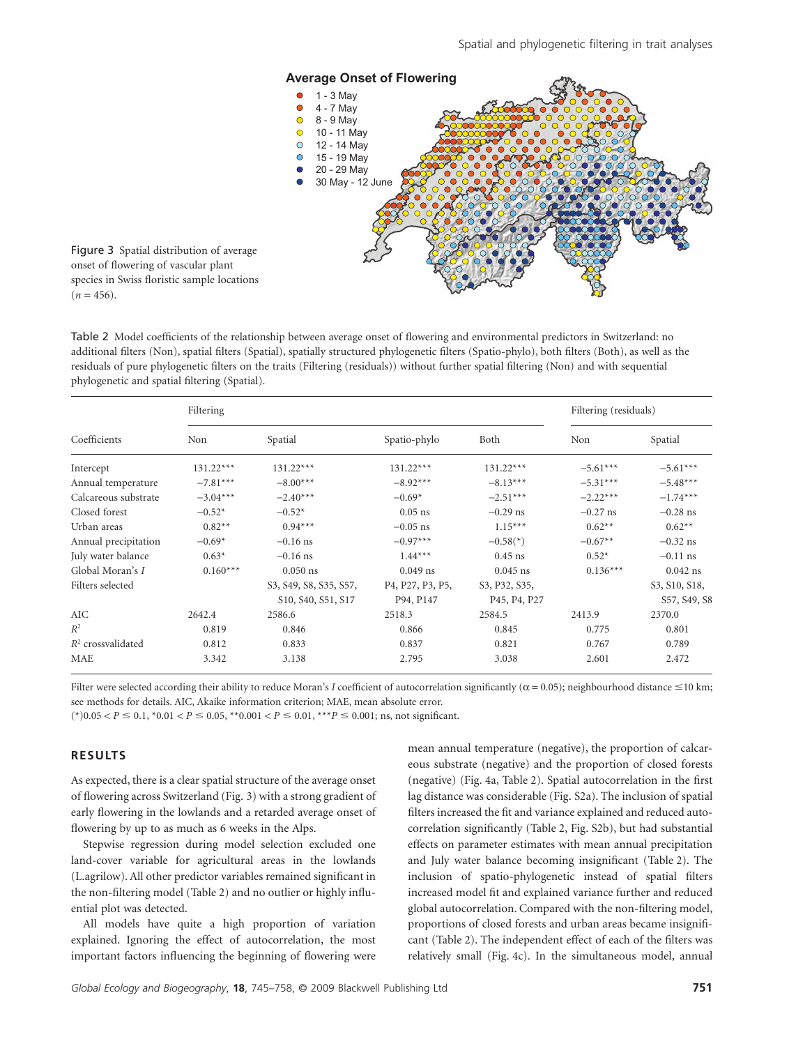

Figure 3 Spatial distribution of average onset of flowering of vascular plant species in Swiss floristic sample locations  $(n = 456)$ .

Table 2 Model coefficients of the relationship between average onset of flowering and environmental predictors in Switzerland: no additional filters (Non), spatial filters (Spatial), spatially structured phylogenetic filters (Spatio-phylo), both filters (Both), as well as the residuals of pure phylogenetic filters on the traits (Filtering (residuals)) without further spatial filtering (Non) and with sequential phylogenetic and spatial filtering (Spatial).

| Coefficients         | Filtering   |                        |                  |                          | Filtering (residuals) |               |
|----------------------|-------------|------------------------|------------------|--------------------------|-----------------------|---------------|
|                      | Non         | Spatial                | Spatio-phylo     | Both                     | Non                   | Spatial       |
| Intercept            | $131.22***$ | $131.22***$            | $131.22***$      | $131.22***$              | $-5.61***$            | $-5.61***$    |
| Annual temperature   | $-7.81***$  | $-8.00***$             | $-8.92***$       | $-8.13***$               | $-5.31***$            | $-5.48***$    |
| Calcareous substrate | $-3.04***$  | $-2.40***$             | $-0.69*$         | $-2.51***$               | $-2.22***$            | $-1.74***$    |
| Closed forest        | $-0.52*$    | $-0.52*$               | $0.05$ ns        | $-0.29$ ns               | $-0.27$ ns            | $-0.28$ ns    |
| Urban areas          | $0.82**$    | $0.94***$              | $-0.05$ ns       | $1.15***$                | $0.62**$              | $0.62**$      |
| Annual precipitation | $-0.69*$    | $-0.16$ ns             | $-0.97***$       | $-0.58$ <sup>(*)</sup> ) | $-0.67**$             | $-0.32$ ns    |
| July water balance   | $0.63*$     | $-0.16$ ns             | $1.44***$        | $0.45$ ns                | $0.52*$               | $-0.11$ ns    |
| Global Moran's I     | $0.160***$  | $0.050$ ns             | $0.049$ ns       | $0.045$ ns               | $0.136***$            | $0.042$ ns    |
| Filters selected     |             | S3, S49, S8, S35, S57, | P4, P27, P3, P5, | S3, P32, S35,            |                       | S3, S10, S18, |
|                      |             | S10, S40, S51, S17     | P94, P147        | P45, P4, P27             |                       | S57, S49, S8  |
| AIC                  | 2642.4      | 2586.6                 | 2518.3           | 2584.5                   | 2413.9                | 2370.0        |
| $R^2$                | 0.819       | 0.846                  | 0.866            | 0.845                    | 0.775                 | 0.801         |
| $R^2$ crossvalidated | 0.812       | 0.833                  | 0.837            | 0.821                    | 0.767                 | 0.789         |
| MAE                  | 3.342       | 3.138                  | 2.795            | 3.038                    | 2.601                 | 2.472         |

Filter were selected according their ability to reduce Moran's *I* coefficient of autocorrelation significantly ( $\alpha$  = 0.05); neighbourhood distance  $\leq$  10 km; see methods for details. AIC, Akaike information criterion; MAE, mean absolute error.

(\*)0.05 < *P* ≤ 0.1, \*0.01 < *P* ≤ 0.05, \*\*0.001 < *P* ≤ 0.01, \*\*\**P* ≤ 0.001; ns, not significant.

### **RESULTS**

As expected, there is a clear spatial structure of the average onset of flowering across Switzerland (Fig. 3) with a strong gradient of early flowering in the lowlands and a retarded average onset of flowering by up to as much as 6 weeks in the Alps.

Stepwise regression during model selection excluded one land-cover variable for agricultural areas in the lowlands (L.agrilow). All other predictor variables remained significant in the non-filtering model (Table 2) and no outlier or highly influential plot was detected.

All models have quite a high proportion of variation explained. Ignoring the effect of autocorrelation, the most important factors influencing the beginning of flowering were mean annual temperature (negative), the proportion of calcareous substrate (negative) and the proportion of closed forests (negative) (Fig. 4a, Table 2). Spatial autocorrelation in the first lag distance was considerable (Fig. S2a). The inclusion of spatial filters increased the fit and variance explained and reduced autocorrelation significantly (Table 2, Fig. S2b), but had substantial effects on parameter estimates with mean annual precipitation and July water balance becoming insignificant (Table 2). The inclusion of spatio-phylogenetic instead of spatial filters increased model fit and explained variance further and reduced global autocorrelation. Compared with the non-filtering model, proportions of closed forests and urban areas became insignificant (Table 2). The independent effect of each of the filters was relatively small (Fig. 4c). In the simultaneous model, annual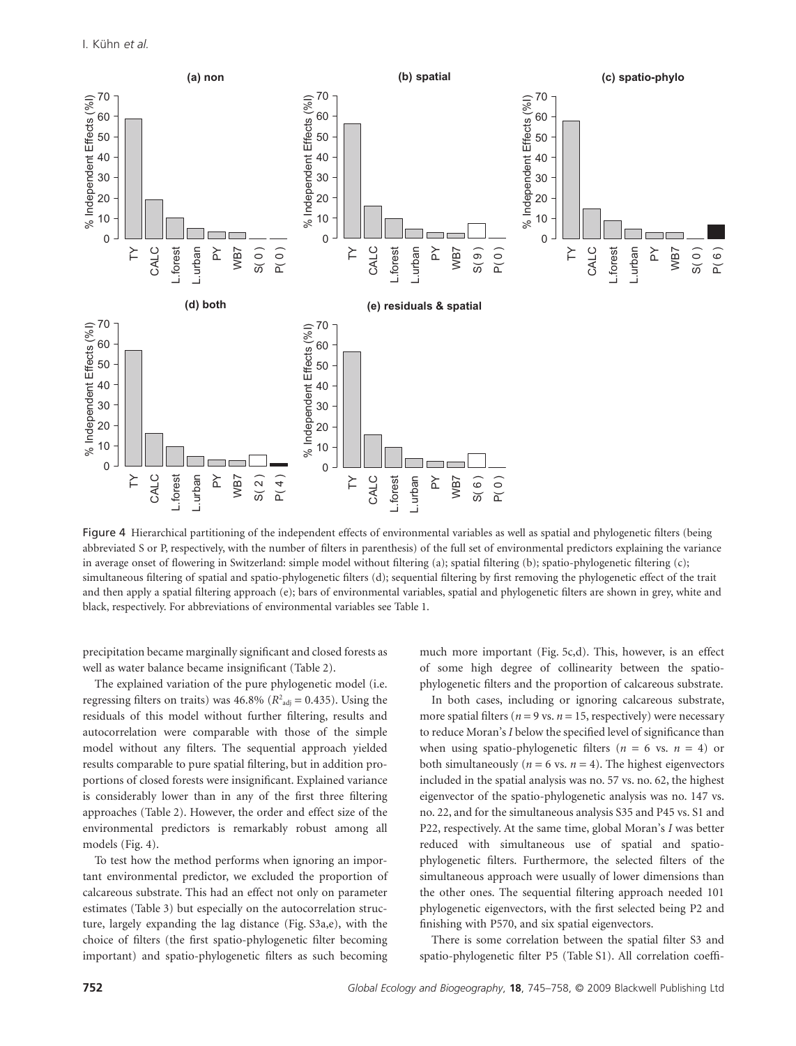

Figure 4 Hierarchical partitioning of the independent effects of environmental variables as well as spatial and phylogenetic filters (being abbreviated S or P, respectively, with the number of filters in parenthesis) of the full set of environmental predictors explaining the variance in average onset of flowering in Switzerland: simple model without filtering (a); spatial filtering (b); spatio-phylogenetic filtering (c); simultaneous filtering of spatial and spatio-phylogenetic filters (d); sequential filtering by first removing the phylogenetic effect of the trait and then apply a spatial filtering approach (e); bars of environmental variables, spatial and phylogenetic filters are shown in grey, white and black, respectively. For abbreviations of environmental variables see Table 1.

precipitation became marginally significant and closed forests as well as water balance became insignificant (Table 2).

The explained variation of the pure phylogenetic model (i.e. regressing filters on traits) was  $46.8\%$  ( $R^2_{\text{adj}} = 0.435$ ). Using the residuals of this model without further filtering, results and autocorrelation were comparable with those of the simple model without any filters. The sequential approach yielded results comparable to pure spatial filtering, but in addition proportions of closed forests were insignificant. Explained variance is considerably lower than in any of the first three filtering approaches (Table 2). However, the order and effect size of the environmental predictors is remarkably robust among all models (Fig. 4).

To test how the method performs when ignoring an important environmental predictor, we excluded the proportion of calcareous substrate. This had an effect not only on parameter estimates (Table 3) but especially on the autocorrelation structure, largely expanding the lag distance (Fig. S3a,e), with the choice of filters (the first spatio-phylogenetic filter becoming important) and spatio-phylogenetic filters as such becoming much more important (Fig. 5c,d). This, however, is an effect of some high degree of collinearity between the spatiophylogenetic filters and the proportion of calcareous substrate.

In both cases, including or ignoring calcareous substrate, more spatial filters ( $n = 9$  vs.  $n = 15$ , respectively) were necessary to reduce Moran's *I* below the specified level of significance than when using spatio-phylogenetic filters ( $n = 6$  vs.  $n = 4$ ) or both simultaneously ( $n = 6$  vs.  $n = 4$ ). The highest eigenvectors included in the spatial analysis was no. 57 vs. no. 62, the highest eigenvector of the spatio-phylogenetic analysis was no. 147 vs. no. 22, and for the simultaneous analysis S35 and P45 vs. S1 and P22, respectively. At the same time, global Moran's *I* was better reduced with simultaneous use of spatial and spatiophylogenetic filters. Furthermore, the selected filters of the simultaneous approach were usually of lower dimensions than the other ones. The sequential filtering approach needed 101 phylogenetic eigenvectors, with the first selected being P2 and finishing with P570, and six spatial eigenvectors.

There is some correlation between the spatial filter S3 and spatio-phylogenetic filter P5 (Table S1). All correlation coeffi-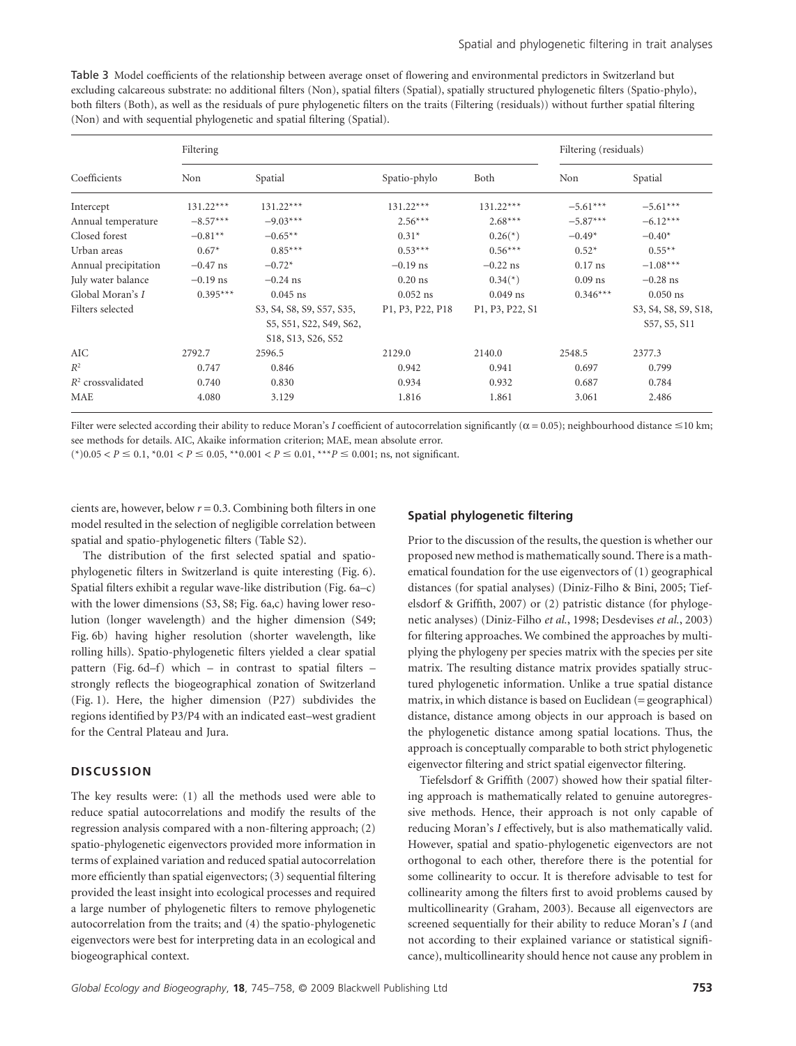Table 3 Model coefficients of the relationship between average onset of flowering and environmental predictors in Switzerland but excluding calcareous substrate: no additional filters (Non), spatial filters (Spatial), spatially structured phylogenetic filters (Spatio-phylo), both filters (Both), as well as the residuals of pure phylogenetic filters on the traits (Filtering (residuals)) without further spatial filtering (Non) and with sequential phylogenetic and spatial filtering (Spatial).

| Coefficients         | Filtering   |                                                                                                                               | Filtering (residuals) |                         |            |                                      |
|----------------------|-------------|-------------------------------------------------------------------------------------------------------------------------------|-----------------------|-------------------------|------------|--------------------------------------|
|                      | Non         | Spatial                                                                                                                       | Spatio-phylo          | Both                    | Non        | Spatial                              |
| Intercept            | $131.22***$ | $131.22***$                                                                                                                   | $131.22***$           | $131.22***$             | $-5.61***$ | $-5.61***$                           |
| Annual temperature   | $-8.57***$  | $-9.03***$                                                                                                                    | $2.56***$             | $2.68***$               | $-5.87***$ | $-6.12***$                           |
| Closed forest        | $-0.81**$   | $-0.65**$                                                                                                                     | $0.31*$               | $0.26$ <sup>(*)</sup> ) | $-0.49*$   | $-0.40*$                             |
| Urban areas          | $0.67*$     | $0.85***$                                                                                                                     | $0.53***$             | $0.56***$               | $0.52*$    | $0.55**$                             |
| Annual precipitation | $-0.47$ ns  | $-0.72*$                                                                                                                      | $-0.19$ ns            | $-0.22$ ns              | $0.17$ ns  | $-1.08***$                           |
| July water balance   | $-0.19$ ns  | $-0.24$ ns                                                                                                                    | $0.20$ ns             | $0.34$ <sup>(*)</sup> ) | $0.09$ ns  | $-0.28$ ns                           |
| Global Moran's I     | $0.395***$  | $0.045$ ns                                                                                                                    | $0.052$ ns            | $0.049$ ns              | $0.346***$ | $0.050$ ns                           |
| Filters selected     |             | S3, S4, S8, S9, S57, S35,<br>S5, S51, S22, S49, S62,<br>S <sub>18</sub> , S <sub>13</sub> , S <sub>26</sub> , S <sub>52</sub> | P1, P3, P22, P18      | P1, P3, P22, S1         |            | S3, S4, S8, S9, S18,<br>S57, S5, S11 |
| AIC                  | 2792.7      | 2596.5                                                                                                                        | 2129.0                | 2140.0                  | 2548.5     | 2377.3                               |
| $R^2$                | 0.747       | 0.846                                                                                                                         | 0.942                 | 0.941                   | 0.697      | 0.799                                |
| $R^2$ crossvalidated | 0.740       | 0.830                                                                                                                         | 0.934                 | 0.932                   | 0.687      | 0.784                                |
| MAE                  | 4.080       | 3.129                                                                                                                         | 1.816                 | 1.861                   | 3.061      | 2.486                                |

Filter were selected according their ability to reduce Moran's *I* coefficient of autocorrelation significantly ( $\alpha$  = 0.05); neighbourhood distance  $\leq$  10 km; see methods for details. AIC, Akaike information criterion; MAE, mean absolute error.

 $(*)0.05 < P \le 0.1, *0.01 < P \le 0.05, **0.001 < P \le 0.01, **P \le 0.001$ ; ns, not significant.

cients are, however, below  $r = 0.3$ . Combining both filters in one model resulted in the selection of negligible correlation between spatial and spatio-phylogenetic filters (Table S2).

**Spatial phylogenetic filtering**

The distribution of the first selected spatial and spatiophylogenetic filters in Switzerland is quite interesting (Fig. 6). Spatial filters exhibit a regular wave-like distribution (Fig. 6a–c) with the lower dimensions (S3, S8; Fig. 6a,c) having lower resolution (longer wavelength) and the higher dimension (S49; Fig. 6b) having higher resolution (shorter wavelength, like rolling hills). Spatio-phylogenetic filters yielded a clear spatial pattern (Fig. 6d–f) which – in contrast to spatial filters – strongly reflects the biogeographical zonation of Switzerland (Fig. 1). Here, the higher dimension (P27) subdivides the regions identified by P3/P4 with an indicated east–west gradient for the Central Plateau and Jura.

# **DISCUSSION**

The key results were: (1) all the methods used were able to reduce spatial autocorrelations and modify the results of the regression analysis compared with a non-filtering approach; (2) spatio-phylogenetic eigenvectors provided more information in terms of explained variation and reduced spatial autocorrelation more efficiently than spatial eigenvectors; (3) sequential filtering provided the least insight into ecological processes and required a large number of phylogenetic filters to remove phylogenetic autocorrelation from the traits; and (4) the spatio-phylogenetic eigenvectors were best for interpreting data in an ecological and biogeographical context.

Prior to the discussion of the results, the question is whether our proposed new method is mathematically sound. There is a mathematical foundation for the use eigenvectors of (1) geographical distances (for spatial analyses) (Diniz-Filho & Bini, 2005; Tiefelsdorf & Griffith, 2007) or (2) patristic distance (for phylogenetic analyses) (Diniz-Filho *et al.*, 1998; Desdevises *et al.*, 2003) for filtering approaches. We combined the approaches by multiplying the phylogeny per species matrix with the species per site matrix. The resulting distance matrix provides spatially structured phylogenetic information. Unlike a true spatial distance matrix, in which distance is based on Euclidean (= geographical) distance, distance among objects in our approach is based on the phylogenetic distance among spatial locations. Thus, the approach is conceptually comparable to both strict phylogenetic eigenvector filtering and strict spatial eigenvector filtering.

Tiefelsdorf & Griffith (2007) showed how their spatial filtering approach is mathematically related to genuine autoregressive methods. Hence, their approach is not only capable of reducing Moran's *I* effectively, but is also mathematically valid. However, spatial and spatio-phylogenetic eigenvectors are not orthogonal to each other, therefore there is the potential for some collinearity to occur. It is therefore advisable to test for collinearity among the filters first to avoid problems caused by multicollinearity (Graham, 2003). Because all eigenvectors are screened sequentially for their ability to reduce Moran's *I* (and not according to their explained variance or statistical significance), multicollinearity should hence not cause any problem in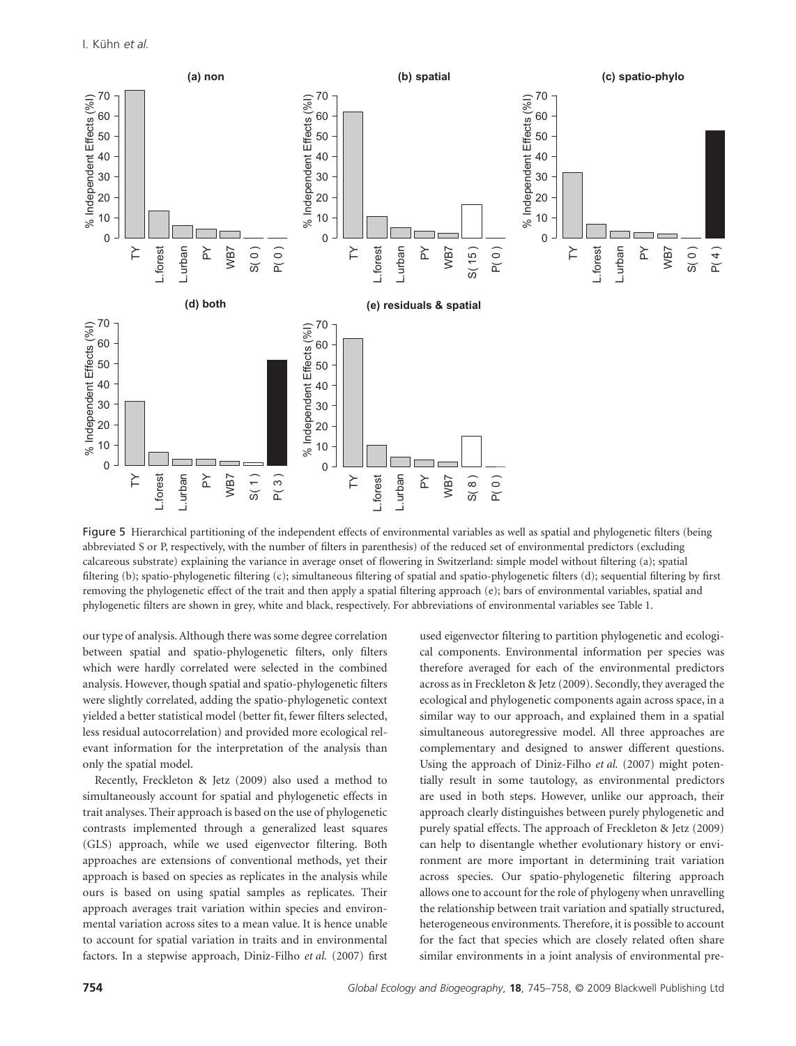

Figure 5 Hierarchical partitioning of the independent effects of environmental variables as well as spatial and phylogenetic filters (being abbreviated S or P, respectively, with the number of filters in parenthesis) of the reduced set of environmental predictors (excluding calcareous substrate) explaining the variance in average onset of flowering in Switzerland: simple model without filtering (a); spatial filtering (b); spatio-phylogenetic filtering (c); simultaneous filtering of spatial and spatio-phylogenetic filters (d); sequential filtering by first removing the phylogenetic effect of the trait and then apply a spatial filtering approach (e); bars of environmental variables, spatial and phylogenetic filters are shown in grey, white and black, respectively. For abbreviations of environmental variables see Table 1.

our type of analysis. Although there was some degree correlation between spatial and spatio-phylogenetic filters, only filters which were hardly correlated were selected in the combined analysis. However, though spatial and spatio-phylogenetic filters were slightly correlated, adding the spatio-phylogenetic context yielded a better statistical model (better fit, fewer filters selected, less residual autocorrelation) and provided more ecological relevant information for the interpretation of the analysis than only the spatial model.

Recently, Freckleton & Jetz (2009) also used a method to simultaneously account for spatial and phylogenetic effects in trait analyses. Their approach is based on the use of phylogenetic contrasts implemented through a generalized least squares (GLS) approach, while we used eigenvector filtering. Both approaches are extensions of conventional methods, yet their approach is based on species as replicates in the analysis while ours is based on using spatial samples as replicates. Their approach averages trait variation within species and environmental variation across sites to a mean value. It is hence unable to account for spatial variation in traits and in environmental factors. In a stepwise approach, Diniz-Filho *et al.* (2007) first used eigenvector filtering to partition phylogenetic and ecological components. Environmental information per species was therefore averaged for each of the environmental predictors across as in Freckleton & Jetz (2009). Secondly, they averaged the ecological and phylogenetic components again across space, in a similar way to our approach, and explained them in a spatial simultaneous autoregressive model. All three approaches are complementary and designed to answer different questions. Using the approach of Diniz-Filho *et al.* (2007) might potentially result in some tautology, as environmental predictors are used in both steps. However, unlike our approach, their approach clearly distinguishes between purely phylogenetic and purely spatial effects. The approach of Freckleton & Jetz (2009) can help to disentangle whether evolutionary history or environment are more important in determining trait variation across species. Our spatio-phylogenetic filtering approach allows one to account for the role of phylogeny when unravelling the relationship between trait variation and spatially structured, heterogeneous environments. Therefore, it is possible to account for the fact that species which are closely related often share similar environments in a joint analysis of environmental pre-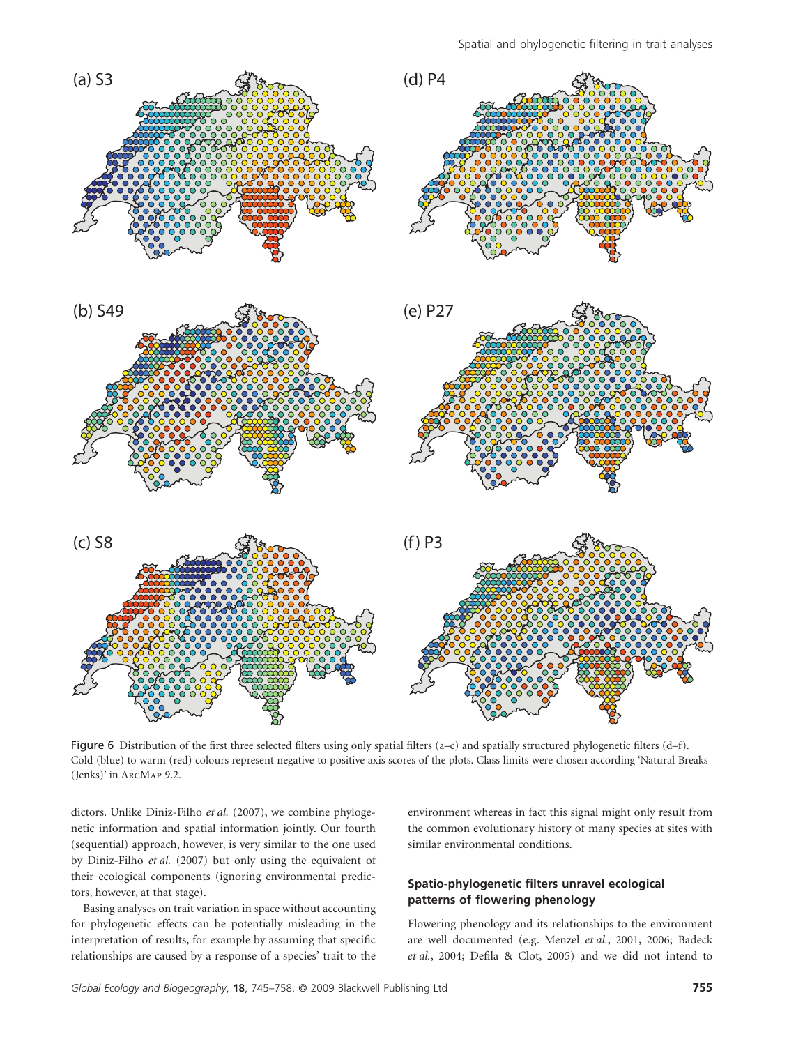

Figure 6 Distribution of the first three selected filters using only spatial filters (a–c) and spatially structured phylogenetic filters (d–f). Cold (blue) to warm (red) colours represent negative to positive axis scores of the plots. Class limits were chosen according 'Natural Breaks (Jenks)' in ArcMap 9.2.

dictors. Unlike Diniz-Filho *et al.* (2007), we combine phylogenetic information and spatial information jointly. Our fourth (sequential) approach, however, is very similar to the one used by Diniz-Filho *et al.* (2007) but only using the equivalent of their ecological components (ignoring environmental predictors, however, at that stage).

Basing analyses on trait variation in space without accounting for phylogenetic effects can be potentially misleading in the interpretation of results, for example by assuming that specific relationships are caused by a response of a species' trait to the environment whereas in fact this signal might only result from the common evolutionary history of many species at sites with similar environmental conditions.

# **Spatio-phylogenetic filters unravel ecological patterns of flowering phenology**

Flowering phenology and its relationships to the environment are well documented (e.g. Menzel *et al.*, 2001, 2006; Badeck *et al.*, 2004; Defila & Clot, 2005) and we did not intend to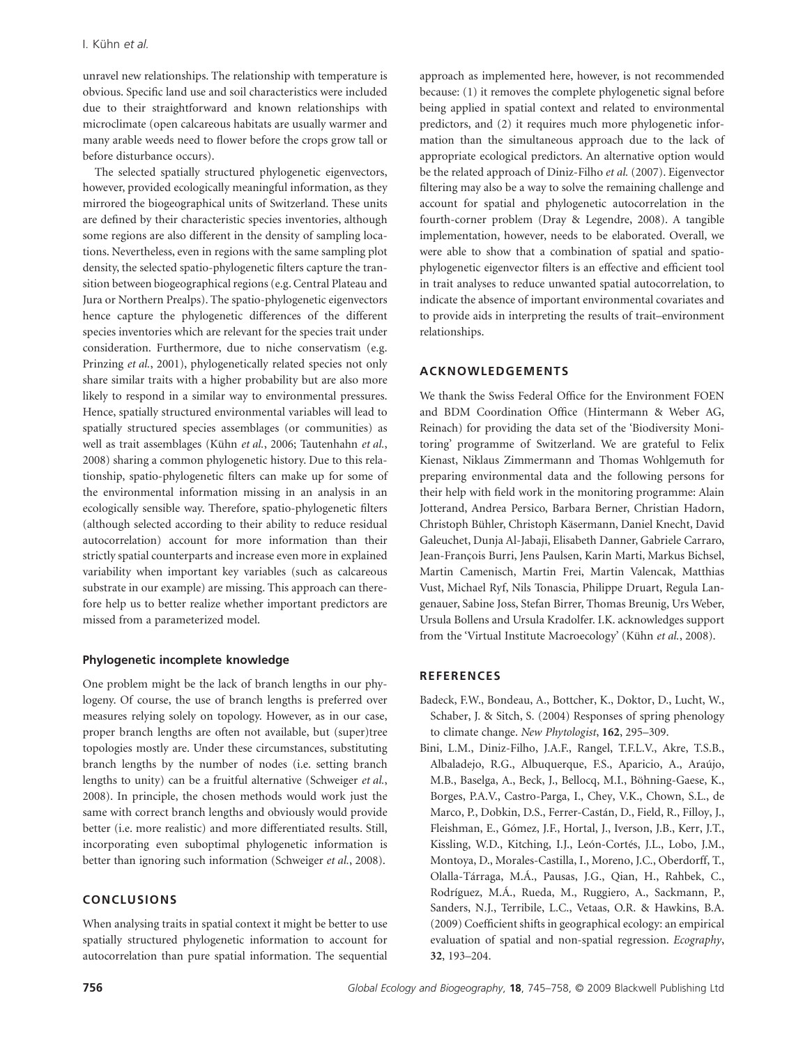unravel new relationships. The relationship with temperature is obvious. Specific land use and soil characteristics were included due to their straightforward and known relationships with microclimate (open calcareous habitats are usually warmer and many arable weeds need to flower before the crops grow tall or before disturbance occurs).

The selected spatially structured phylogenetic eigenvectors, however, provided ecologically meaningful information, as they mirrored the biogeographical units of Switzerland. These units are defined by their characteristic species inventories, although some regions are also different in the density of sampling locations. Nevertheless, even in regions with the same sampling plot density, the selected spatio-phylogenetic filters capture the transition between biogeographical regions (e.g. Central Plateau and Jura or Northern Prealps). The spatio-phylogenetic eigenvectors hence capture the phylogenetic differences of the different species inventories which are relevant for the species trait under consideration. Furthermore, due to niche conservatism (e.g. Prinzing *et al.*, 2001), phylogenetically related species not only share similar traits with a higher probability but are also more likely to respond in a similar way to environmental pressures. Hence, spatially structured environmental variables will lead to spatially structured species assemblages (or communities) as well as trait assemblages (Kühn *et al.*, 2006; Tautenhahn *et al.*, 2008) sharing a common phylogenetic history. Due to this relationship, spatio-phylogenetic filters can make up for some of the environmental information missing in an analysis in an ecologically sensible way. Therefore, spatio-phylogenetic filters (although selected according to their ability to reduce residual autocorrelation) account for more information than their strictly spatial counterparts and increase even more in explained variability when important key variables (such as calcareous substrate in our example) are missing. This approach can therefore help us to better realize whether important predictors are missed from a parameterized model.

## **Phylogenetic incomplete knowledge**

One problem might be the lack of branch lengths in our phylogeny. Of course, the use of branch lengths is preferred over measures relying solely on topology. However, as in our case, proper branch lengths are often not available, but (super)tree topologies mostly are. Under these circumstances, substituting branch lengths by the number of nodes (i.e. setting branch lengths to unity) can be a fruitful alternative (Schweiger *et al.*, 2008). In principle, the chosen methods would work just the same with correct branch lengths and obviously would provide better (i.e. more realistic) and more differentiated results. Still, incorporating even suboptimal phylogenetic information is better than ignoring such information (Schweiger *et al.*, 2008).

## **CONCLUSIONS**

When analysing traits in spatial context it might be better to use spatially structured phylogenetic information to account for autocorrelation than pure spatial information. The sequential approach as implemented here, however, is not recommended because: (1) it removes the complete phylogenetic signal before being applied in spatial context and related to environmental predictors, and (2) it requires much more phylogenetic information than the simultaneous approach due to the lack of appropriate ecological predictors. An alternative option would be the related approach of Diniz-Filho *et al.* (2007). Eigenvector filtering may also be a way to solve the remaining challenge and account for spatial and phylogenetic autocorrelation in the fourth-corner problem (Dray & Legendre, 2008). A tangible implementation, however, needs to be elaborated. Overall, we were able to show that a combination of spatial and spatiophylogenetic eigenvector filters is an effective and efficient tool in trait analyses to reduce unwanted spatial autocorrelation, to indicate the absence of important environmental covariates and to provide aids in interpreting the results of trait–environment relationships.

## **ACKNOWLEDGEMENTS**

We thank the Swiss Federal Office for the Environment FOEN and BDM Coordination Office (Hintermann & Weber AG, Reinach) for providing the data set of the 'Biodiversity Monitoring' programme of Switzerland. We are grateful to Felix Kienast, Niklaus Zimmermann and Thomas Wohlgemuth for preparing environmental data and the following persons for their help with field work in the monitoring programme: Alain Jotterand, Andrea Persico, Barbara Berner, Christian Hadorn, Christoph Bühler, Christoph Käsermann, Daniel Knecht, David Galeuchet, Dunja Al-Jabaji, Elisabeth Danner, Gabriele Carraro, Jean-François Burri, Jens Paulsen, Karin Marti, Markus Bichsel, Martin Camenisch, Martin Frei, Martin Valencak, Matthias Vust, Michael Ryf, Nils Tonascia, Philippe Druart, Regula Langenauer, Sabine Joss, Stefan Birrer, Thomas Breunig, Urs Weber, Ursula Bollens and Ursula Kradolfer. I.K. acknowledges support from the 'Virtual Institute Macroecology' (Kühn *et al.*, 2008).

### **REFERENCES**

- Badeck, F.W., Bondeau, A., Bottcher, K., Doktor, D., Lucht, W., Schaber, J. & Sitch, S. (2004) Responses of spring phenology to climate change. *New Phytologist*, **162**, 295–309.
- Bini, L.M., Diniz-Filho, J.A.F., Rangel, T.F.L.V., Akre, T.S.B., Albaladejo, R.G., Albuquerque, F.S., Aparicio, A., Araújo, M.B., Baselga, A., Beck, J., Bellocq, M.I., Böhning-Gaese, K., Borges, P.A.V., Castro-Parga, I., Chey, V.K., Chown, S.L., de Marco, P., Dobkin, D.S., Ferrer-Castán, D., Field, R., Filloy, J., Fleishman, E., Gómez, J.F., Hortal, J., Iverson, J.B., Kerr, J.T., Kissling, W.D., Kitching, I.J., León-Cortés, J.L., Lobo, J.M., Montoya, D., Morales-Castilla, I., Moreno, J.C., Oberdorff, T., Olalla-Tárraga, M.Á., Pausas, J.G., Qian, H., Rahbek, C., Rodríguez, M.Á., Rueda, M., Ruggiero, A., Sackmann, P., Sanders, N.J., Terribile, L.C., Vetaas, O.R. & Hawkins, B.A. (2009) Coefficient shifts in geographical ecology: an empirical evaluation of spatial and non-spatial regression. *Ecography*, **32**, 193–204.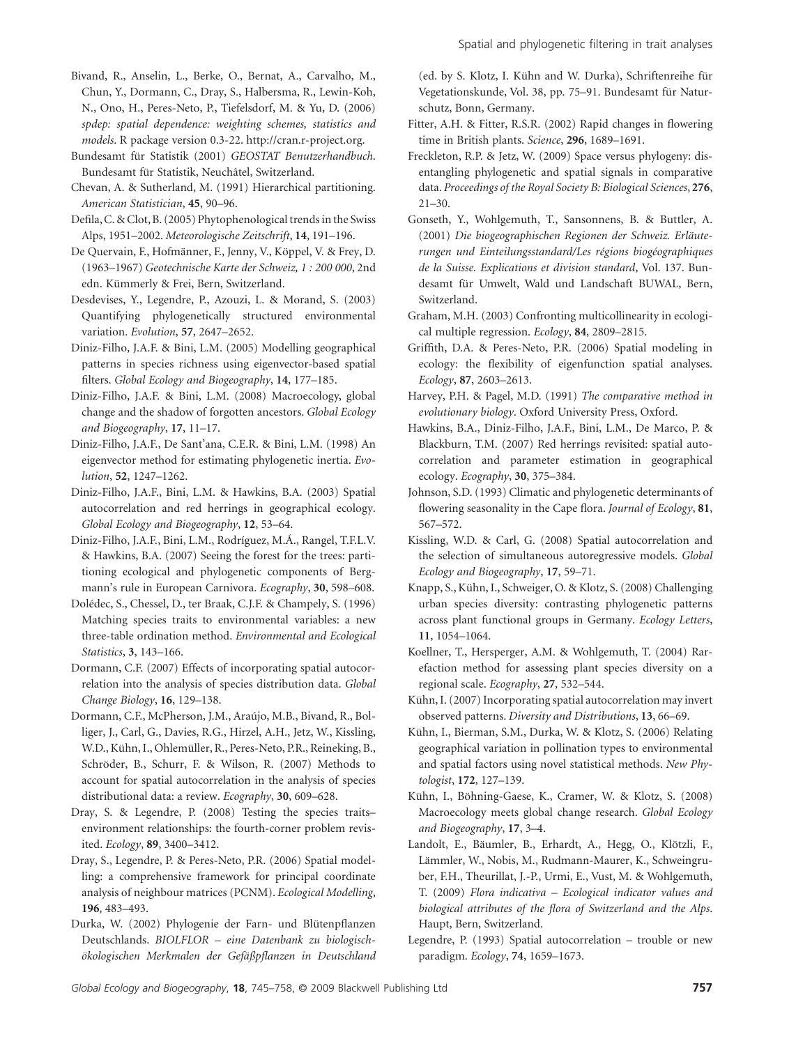Bivand, R., Anselin, L., Berke, O., Bernat, A., Carvalho, M., Chun, Y., Dormann, C., Dray, S., Halbersma, R., Lewin-Koh, N., Ono, H., Peres-Neto, P., Tiefelsdorf, M. & Yu, D. (2006) *spdep: spatial dependence: weighting schemes, statistics and models*. R package version 0.3-22. http://cran.r-project.org.

Bundesamt für Statistik (2001) *GEOSTAT Benutzerhandbuch*. Bundesamt für Statistik, Neuchâtel, Switzerland.

Chevan, A. & Sutherland, M. (1991) Hierarchical partitioning. *American Statistician*, **45**, 90–96.

Defila, C. & Clot, B. (2005) Phytophenological trends in the Swiss Alps, 1951–2002. *Meteorologische Zeitschrift*, **14**, 191–196.

De Quervain, F., Hofmänner, F., Jenny, V., Köppel, V. & Frey, D. (1963–1967) *Geotechnische Karte der Schweiz, 1 : 200 000*, 2nd edn. Kümmerly & Frei, Bern, Switzerland.

Desdevises, Y., Legendre, P., Azouzi, L. & Morand, S. (2003) Quantifying phylogenetically structured environmental variation. *Evolution*, **57**, 2647–2652.

Diniz-Filho, J.A.F. & Bini, L.M. (2005) Modelling geographical patterns in species richness using eigenvector-based spatial filters. *Global Ecology and Biogeography*, **14**, 177–185.

Diniz-Filho, J.A.F. & Bini, L.M. (2008) Macroecology, global change and the shadow of forgotten ancestors. *Global Ecology and Biogeography*, **17**, 11–17.

Diniz-Filho, J.A.F., De Sant'ana, C.E.R. & Bini, L.M. (1998) An eigenvector method for estimating phylogenetic inertia. *Evolution*, **52**, 1247–1262.

Diniz-Filho, J.A.F., Bini, L.M. & Hawkins, B.A. (2003) Spatial autocorrelation and red herrings in geographical ecology. *Global Ecology and Biogeography*, **12**, 53–64.

Diniz-Filho, J.A.F., Bini, L.M., Rodríguez, M.Á., Rangel, T.F.L.V. & Hawkins, B.A. (2007) Seeing the forest for the trees: partitioning ecological and phylogenetic components of Bergmann's rule in European Carnivora. *Ecography*, **30**, 598–608.

Dolédec, S., Chessel, D., ter Braak, C.J.F. & Champely, S. (1996) Matching species traits to environmental variables: a new three-table ordination method. *Environmental and Ecological Statistics*, **3**, 143–166.

Dormann, C.F. (2007) Effects of incorporating spatial autocorrelation into the analysis of species distribution data. *Global Change Biology*, **16**, 129–138.

Dormann, C.F., McPherson, J.M., Araújo, M.B., Bivand, R., Bolliger, J., Carl, G., Davies, R.G., Hirzel, A.H., Jetz, W., Kissling, W.D., Kühn, I., Ohlemüller, R., Peres-Neto, P.R., Reineking, B., Schröder, B., Schurr, F. & Wilson, R. (2007) Methods to account for spatial autocorrelation in the analysis of species distributional data: a review. *Ecography*, **30**, 609–628.

Dray, S. & Legendre, P. (2008) Testing the species traits– environment relationships: the fourth-corner problem revisited. *Ecology*, **89**, 3400–3412.

Dray, S., Legendre, P. & Peres-Neto, P.R. (2006) Spatial modelling: a comprehensive framework for principal coordinate analysis of neighbour matrices (PCNM). *Ecological Modelling*, **196**, 483–493.

Durka, W. (2002) Phylogenie der Farn- und Blütenpflanzen Deutschlands. *BIOLFLOR – eine Datenbank zu biologischökologischen Merkmalen der Gefäßpflanzen in Deutschland* (ed. by S. Klotz, I. Kühn and W. Durka), Schriftenreihe für Vegetationskunde, Vol. 38, pp. 75–91. Bundesamt für Naturschutz, Bonn, Germany.

Fitter, A.H. & Fitter, R.S.R. (2002) Rapid changes in flowering time in British plants. *Science*, **296**, 1689–1691.

Freckleton, R.P. & Jetz, W. (2009) Space versus phylogeny: disentangling phylogenetic and spatial signals in comparative data. *Proceedings of the Royal Society B: Biological Sciences*, **276**,  $21 - 30.$ 

Gonseth, Y., Wohlgemuth, T., Sansonnens, B. & Buttler, A. (2001) *Die biogeographischen Regionen der Schweiz. Erläuterungen und Einteilungsstandard/Les régions biogéographiques de la Suisse. Explications et division standard*, Vol. 137. Bundesamt für Umwelt, Wald und Landschaft BUWAL, Bern, Switzerland.

Graham, M.H. (2003) Confronting multicollinearity in ecological multiple regression. *Ecology*, **84**, 2809–2815.

Griffith, D.A. & Peres-Neto, P.R. (2006) Spatial modeling in ecology: the flexibility of eigenfunction spatial analyses. *Ecology*, **87**, 2603–2613.

Harvey, P.H. & Pagel, M.D. (1991) *The comparative method in evolutionary biology*. Oxford University Press, Oxford.

Hawkins, B.A., Diniz-Filho, J.A.F., Bini, L.M., De Marco, P. & Blackburn, T.M. (2007) Red herrings revisited: spatial autocorrelation and parameter estimation in geographical ecology. *Ecography*, **30**, 375–384.

Johnson, S.D. (1993) Climatic and phylogenetic determinants of flowering seasonality in the Cape flora. *Journal of Ecology*, **81**, 567–572.

Kissling, W.D. & Carl, G. (2008) Spatial autocorrelation and the selection of simultaneous autoregressive models. *Global Ecology and Biogeography*, **17**, 59–71.

Knapp, S., Kühn, I., Schweiger, O. & Klotz, S. (2008) Challenging urban species diversity: contrasting phylogenetic patterns across plant functional groups in Germany. *Ecology Letters*, **11**, 1054–1064.

Koellner, T., Hersperger, A.M. & Wohlgemuth, T. (2004) Rarefaction method for assessing plant species diversity on a regional scale. *Ecography*, **27**, 532–544.

Kühn, I. (2007) Incorporating spatial autocorrelation may invert observed patterns. *Diversity and Distributions*, **13**, 66–69.

Kühn, I., Bierman, S.M., Durka, W. & Klotz, S. (2006) Relating geographical variation in pollination types to environmental and spatial factors using novel statistical methods. *New Phytologist*, **172**, 127–139.

Kühn, I., Böhning-Gaese, K., Cramer, W. & Klotz, S. (2008) Macroecology meets global change research. *Global Ecology and Biogeography*, **17**, 3–4.

Landolt, E., Bäumler, B., Erhardt, A., Hegg, O., Klötzli, F., Lämmler, W., Nobis, M., Rudmann-Maurer, K., Schweingruber, F.H., Theurillat, J.-P., Urmi, E., Vust, M. & Wohlgemuth, T. (2009) *Flora indicativa – Ecological indicator values and biological attributes of the flora of Switzerland and the Alps*. Haupt, Bern, Switzerland.

Legendre, P. (1993) Spatial autocorrelation – trouble or new paradigm. *Ecology*, **74**, 1659–1673.